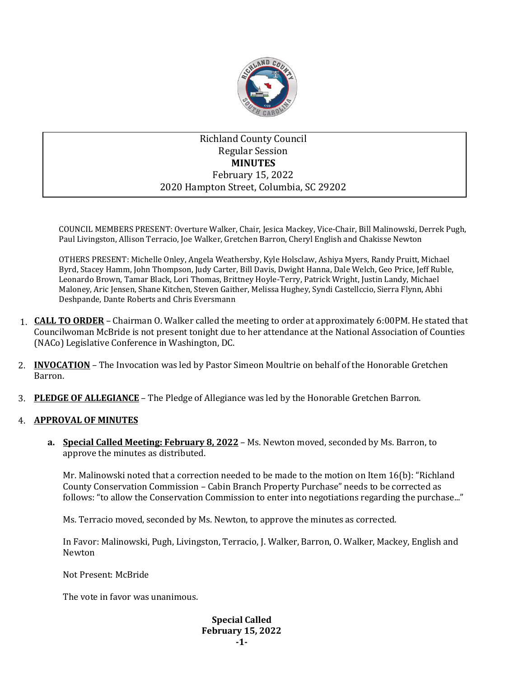

# Richland County Council Regular Session **MINUTES** February 15, 2022 2020 Hampton Street, Columbia, SC 29202

COUNCIL MEMBERS PRESENT: Overture Walker, Chair, Jesica Mackey, Vice-Chair, Bill Malinowski, Derrek Pugh, Paul Livingston, Allison Terracio, Joe Walker, Gretchen Barron, Cheryl English and Chakisse Newton

OTHERS PRESENT: Michelle Onley, Angela Weathersby, Kyle Holsclaw, Ashiya Myers, Randy Pruitt, Michael Byrd, Stacey Hamm, John Thompson, Judy Carter, Bill Davis, Dwight Hanna, Dale Welch, Geo Price, Jeff Ruble, Leonardo Brown, Tamar Black, Lori Thomas, Brittney Hoyle-Terry, Patrick Wright, Justin Landy, Michael Maloney, Aric Jensen, Shane Kitchen, Steven Gaither, Melissa Hughey, Syndi Castellccio, Sierra Flynn, Abhi Deshpande, Dante Roberts and Chris Eversmann

- 1. **CALL TO ORDER** Chairman O. Walker called the meeting to order at approximately 6:00PM. He stated that Councilwoman McBride is not present tonight due to her attendance at the National Association of Counties (NACo) Legislative Conference in Washington, DC.
- 2. **INVOCATION** The Invocation was led by Pastor Simeon Moultrie on behalf of the Honorable Gretchen Barron.
- 3. **PLEDGE OF ALLEGIANCE** The Pledge of Allegiance was led by the Honorable Gretchen Barron.

### 4. **APPROVAL OF MINUTES**

**a. Special Called Meeting: February 8, 2022** – Ms. Newton moved, seconded by Ms. Barron, to approve the minutes as distributed.

Mr. Malinowski noted that a correction needed to be made to the motion on Item 16(b): "Richland County Conservation Commission – Cabin Branch Property Purchase" needs to be corrected as follows: "to allow the Conservation Commission to enter into negotiations regarding the purchase..."

Ms. Terracio moved, seconded by Ms. Newton, to approve the minutes as corrected.

In Favor: Malinowski, Pugh, Livingston, Terracio, J. Walker, Barron, O. Walker, Mackey, English and Newton

Not Present: McBride

The vote in favor was unanimous.

**Special Called February 15, 2022 -1-**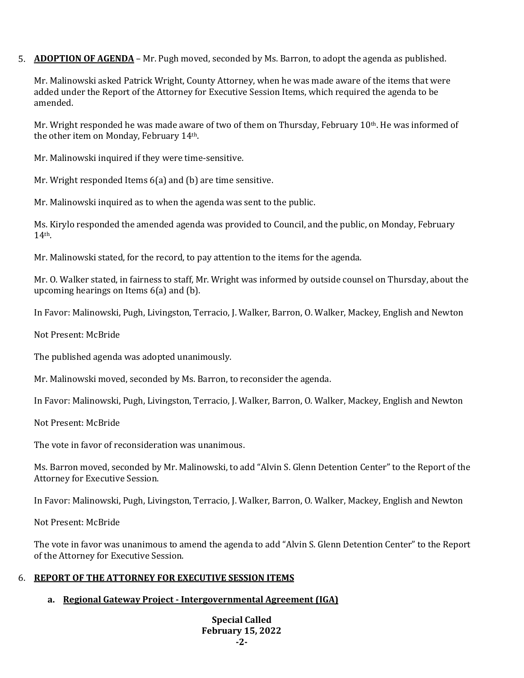5. **ADOPTION OF AGENDA** – Mr. Pugh moved, seconded by Ms. Barron, to adopt the agenda as published.

Mr. Malinowski asked Patrick Wright, County Attorney, when he was made aware of the items that were added under the Report of the Attorney for Executive Session Items, which required the agenda to be amended.

Mr. Wright responded he was made aware of two of them on Thursday, February 10th. He was informed of the other item on Monday, February 14th.

Mr. Malinowski inquired if they were time-sensitive.

Mr. Wright responded Items 6(a) and (b) are time sensitive.

Mr. Malinowski inquired as to when the agenda was sent to the public.

Ms. Kirylo responded the amended agenda was provided to Council, and the public, on Monday, February 14th.

Mr. Malinowski stated, for the record, to pay attention to the items for the agenda.

Mr. O. Walker stated, in fairness to staff, Mr. Wright was informed by outside counsel on Thursday, about the upcoming hearings on Items 6(a) and (b).

In Favor: Malinowski, Pugh, Livingston, Terracio, J. Walker, Barron, O. Walker, Mackey, English and Newton

Not Present: McBride

The published agenda was adopted unanimously.

Mr. Malinowski moved, seconded by Ms. Barron, to reconsider the agenda.

In Favor: Malinowski, Pugh, Livingston, Terracio, J. Walker, Barron, O. Walker, Mackey, English and Newton

Not Present: McBride

The vote in favor of reconsideration was unanimous.

Ms. Barron moved, seconded by Mr. Malinowski, to add "Alvin S. Glenn Detention Center" to the Report of the Attorney for Executive Session.

In Favor: Malinowski, Pugh, Livingston, Terracio, J. Walker, Barron, O. Walker, Mackey, English and Newton

Not Present: McBride

The vote in favor was unanimous to amend the agenda to add "Alvin S. Glenn Detention Center" to the Report of the Attorney for Executive Session.

### 6. **REPORT OF THE ATTORNEY FOR EXECUTIVE SESSION ITEMS**

## **a. Regional Gateway Project - Intergovernmental Agreement (IGA)**

**Special Called February 15, 2022 -2-**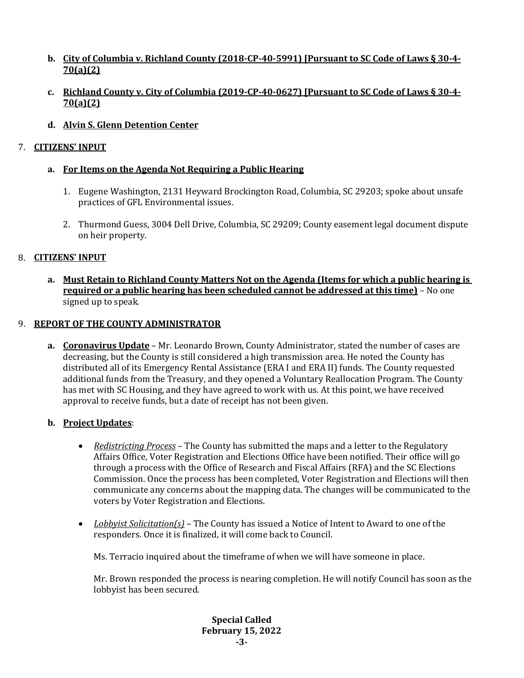- **b. City of Columbia v. Richland County (2018-CP-40-5991) [Pursuant to SC Code of Laws § 30-4- 70(a)(2)**
- **c. Richland County v. City of Columbia (2019-CP-40-0627) [Pursuant to SC Code of Laws § 30-4- 70(a)(2)**
- **d. Alvin S. Glenn Detention Center**

## 7. **CITIZENS' INPUT**

## **a. For Items on the Agenda Not Requiring a Public Hearing**

- 1. Eugene Washington, 2131 Heyward Brockington Road, Columbia, SC 29203; spoke about unsafe practices of GFL Environmental issues.
- 2. Thurmond Guess, 3004 Dell Drive, Columbia, SC 29209; County easement legal document dispute on heir property.

## 8. **CITIZENS' INPUT**

**a. Must Retain to Richland County Matters Not on the Agenda (Items for which a public hearing is required or a public hearing has been scheduled cannot be addressed at this time)** – No one signed up to speak.

### 9. **REPORT OF THE COUNTY ADMINISTRATOR**

**a. Coronavirus Update** – Mr. Leonardo Brown, County Administrator, stated the number of cases are decreasing, but the County is still considered a high transmission area. He noted the County has distributed all of its Emergency Rental Assistance (ERA I and ERA II) funds. The County requested additional funds from the Treasury, and they opened a Voluntary Reallocation Program. The County has met with SC Housing, and they have agreed to work with us. At this point, we have received approval to receive funds, but a date of receipt has not been given.

## **b. Project Updates**:

- *Redistricting Process* The County has submitted the maps and a letter to the Regulatory Affairs Office, Voter Registration and Elections Office have been notified. Their office will go through a process with the Office of Research and Fiscal Affairs (RFA) and the SC Elections Commission. Once the process has been completed, Voter Registration and Elections will then communicate any concerns about the mapping data. The changes will be communicated to the voters by Voter Registration and Elections.
- *Lobbyist Solicitation(s)* The County has issued a Notice of Intent to Award to one of the responders. Once it is finalized, it will come back to Council.

Ms. Terracio inquired about the timeframe of when we will have someone in place.

Mr. Brown responded the process is nearing completion. He will notify Council has soon as the lobbyist has been secured.

> **Special Called February 15, 2022 -3-**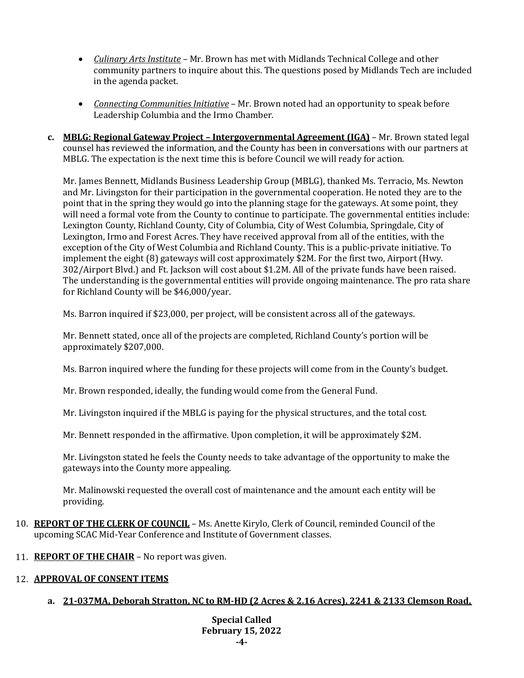- *Culinary Arts Institute* Mr. Brown has met with Midlands Technical College and other community partners to inquire about this. The questions posed by Midlands Tech are included in the agenda packet.
- *Connecting Communities Initiative* Mr. Brown noted had an opportunity to speak before Leadership Columbia and the Irmo Chamber.
- **c. MBLG: Regional Gateway Project – Intergovernmental Agreement (IGA)** Mr. Brown stated legal counsel has reviewed the information, and the County has been in conversations with our partners at MBLG. The expectation is the next time this is before Council we will ready for action.

Mr. James Bennett, Midlands Business Leadership Group (MBLG), thanked Ms. Terracio, Ms. Newton and Mr. Livingston for their participation in the governmental cooperation. He noted they are to the point that in the spring they would go into the planning stage for the gateways. At some point, they will need a formal vote from the County to continue to participate. The governmental entities include: Lexington County, Richland County, City of Columbia, City of West Columbia, Springdale, City of Lexington, Irmo and Forest Acres. They have received approval from all of the entities, with the exception of the City of West Columbia and Richland County. This is a public-private initiative. To implement the eight (8) gateways will cost approximately \$2M. For the first two, Airport (Hwy. 302/Airport Blvd.) and Ft. Jackson will cost about \$1.2M. All of the private funds have been raised. The understanding is the governmental entities will provide ongoing maintenance. The pro rata share for Richland County will be \$46,000/year.

Ms. Barron inquired if \$23,000, per project, will be consistent across all of the gateways.

Mr. Bennett stated, once all of the projects are completed, Richland County's portion will be approximately \$207,000.

Ms. Barron inquired where the funding for these projects will come from in the County's budget.

Mr. Brown responded, ideally, the funding would come from the General Fund.

Mr. Livingston inquired if the MBLG is paying for the physical structures, and the total cost.

Mr. Bennett responded in the affirmative. Upon completion, it will be approximately \$2M.

Mr. Livingston stated he feels the County needs to take advantage of the opportunity to make the gateways into the County more appealing.

Mr. Malinowski requested the overall cost of maintenance and the amount each entity will be providing.

- 10. **REPORT OF THE CLERK OF COUNCIL** Ms. Anette Kirylo, Clerk of Council, reminded Council of the upcoming SCAC Mid-Year Conference and Institute of Government classes.
- 11. **REPORT OF THE CHAIR** No report was given.

## 12. **APPROVAL OF CONSENT ITEMS**

## **a. 21-037MA, Deborah Stratton, NC to RM-HD (2 Acres & 2.16 Acres), 2241 & 2133 Clemson Road,**

**Special Called February 15, 2022 -4-**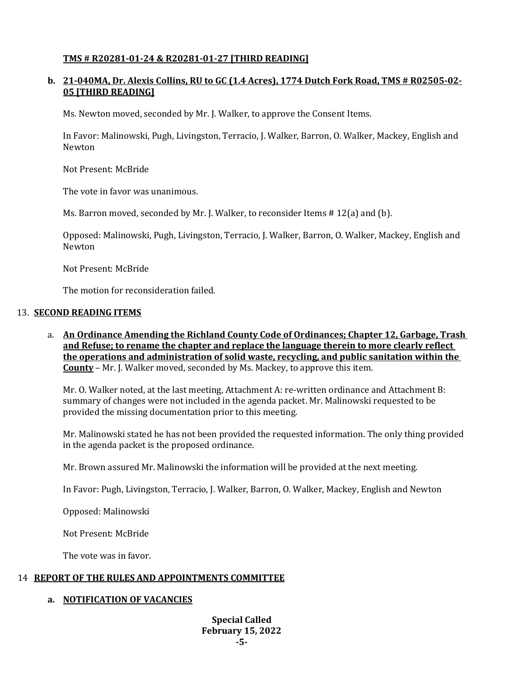## **TMS # R20281-01-24 & R20281-01-27 [THIRD READING]**

## **b. 21-040MA, Dr. Alexis Collins, RU to GC (1.4 Acres), 1774 Dutch Fork Road, TMS # R02505-02- 05 [THIRD READING]**

Ms. Newton moved, seconded by Mr. J. Walker, to approve the Consent Items.

In Favor: Malinowski, Pugh, Livingston, Terracio, J. Walker, Barron, O. Walker, Mackey, English and Newton

Not Present: McBride

The vote in favor was unanimous.

Ms. Barron moved, seconded by Mr. J. Walker, to reconsider Items  $# 12(a)$  and (b).

Opposed: Malinowski, Pugh, Livingston, Terracio, J. Walker, Barron, O. Walker, Mackey, English and Newton

Not Present: McBride

The motion for reconsideration failed.

### 13. **SECOND READING ITEMS**

a. **An Ordinance Amending the Richland County Code of Ordinances; Chapter 12, Garbage, Trash and Refuse; to rename the chapter and replace the language therein to more clearly reflect the operations and administration of solid waste, recycling, and public sanitation within the County** – Mr. J. Walker moved, seconded by Ms. Mackey, to approve this item.

Mr. O. Walker noted, at the last meeting, Attachment A: re-written ordinance and Attachment B: summary of changes were not included in the agenda packet. Mr. Malinowski requested to be provided the missing documentation prior to this meeting.

Mr. Malinowski stated he has not been provided the requested information. The only thing provided in the agenda packet is the proposed ordinance.

Mr. Brown assured Mr. Malinowski the information will be provided at the next meeting.

In Favor: Pugh, Livingston, Terracio, J. Walker, Barron, O. Walker, Mackey, English and Newton

Opposed: Malinowski

Not Present: McBride

The vote was in favor.

### 14 **REPORT OF THE RULES AND APPOINTMENTS COMMITTEE**

## **a. NOTIFICATION OF VACANCIES**

**Special Called February 15, 2022 -5-**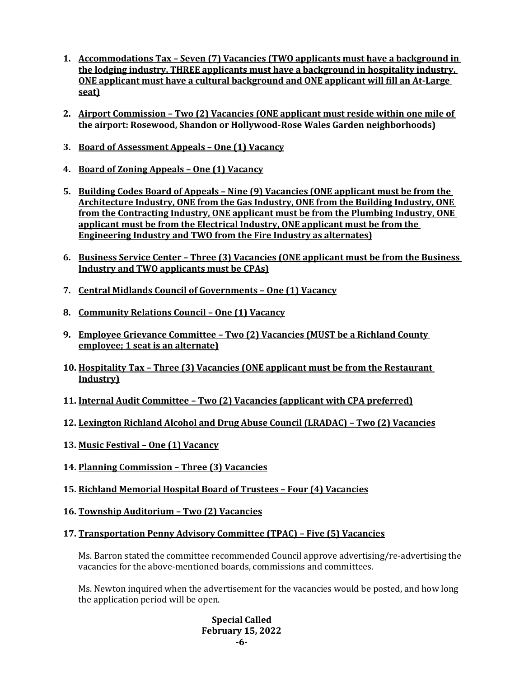- **1. Accommodations Tax – Seven (7) Vacancies (TWO applicants must have a background in the lodging industry, THREE applicants must have a background in hospitality industry, ONE applicant must have a cultural background and ONE applicant will fill an At-Large seat)**
- **2. Airport Commission – Two (2) Vacancies (ONE applicant must reside within one mile of the airport: Rosewood, Shandon or Hollywood-Rose Wales Garden neighborhoods)**
- **3. Board of Assessment Appeals – One (1) Vacancy**
- **4. Board of Zoning Appeals – One (1) Vacancy**
- **5. Building Codes Board of Appeals – Nine (9) Vacancies (ONE applicant must be from the Architecture Industry, ONE from the Gas Industry, ONE from the Building Industry, ONE from the Contracting Industry, ONE applicant must be from the Plumbing Industry, ONE applicant must be from the Electrical Industry, ONE applicant must be from the Engineering Industry and TWO from the Fire Industry as alternates)**
- **6. Business Service Center – Three (3) Vacancies (ONE applicant must be from the Business Industry and TWO applicants must be CPAs)**
- **7. Central Midlands Council of Governments – One (1) Vacancy**
- **8. Community Relations Council – One (1) Vacancy**
- **9. Employee Grievance Committee – Two (2) Vacancies (MUST be a Richland County employee; 1 seat is an alternate)**
- **10. Hospitality Tax – Three (3) Vacancies (ONE applicant must be from the Restaurant Industry)**
- **11. Internal Audit Committee – Two (2) Vacancies (applicant with CPA preferred)**
- **12. Lexington Richland Alcohol and Drug Abuse Council (LRADAC) – Two (2) Vacancies**
- **13. Music Festival – One (1) Vacancy**
- **14. Planning Commission – Three (3) Vacancies**
- **15. Richland Memorial Hospital Board of Trustees – Four (4) Vacancies**
- **16. Township Auditorium – Two (2) Vacancies**
- **17. Transportation Penny Advisory Committee (TPAC) – Five (5) Vacancies**

Ms. Barron stated the committee recommended Council approve advertising/re-advertising the vacancies for the above-mentioned boards, commissions and committees.

Ms. Newton inquired when the advertisement for the vacancies would be posted, and how long the application period will be open.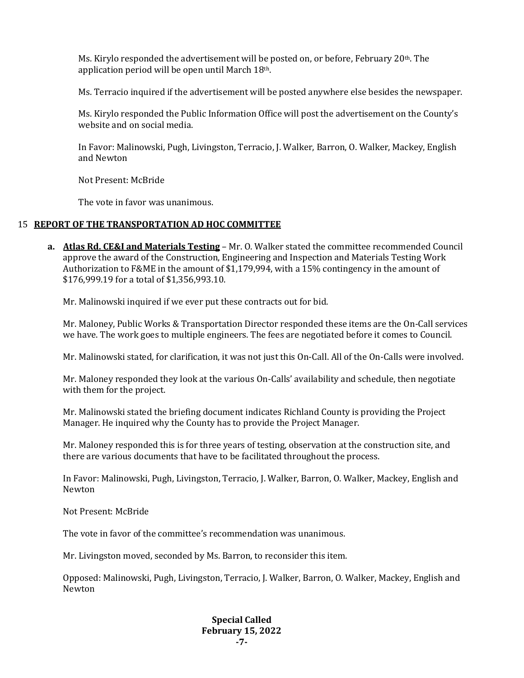Ms. Kirylo responded the advertisement will be posted on, or before, February 20th. The application period will be open until March 18th.

Ms. Terracio inquired if the advertisement will be posted anywhere else besides the newspaper.

Ms. Kirylo responded the Public Information Office will post the advertisement on the County's website and on social media.

In Favor: Malinowski, Pugh, Livingston, Terracio, J. Walker, Barron, O. Walker, Mackey, English and Newton

Not Present: McBride

The vote in favor was unanimous.

#### 15 **REPORT OF THE TRANSPORTATION AD HOC COMMITTEE**

**a. Atlas Rd. CE&I and Materials Testing** – Mr. O. Walker stated the committee recommended Council approve the award of the Construction, Engineering and Inspection and Materials Testing Work Authorization to F&ME in the amount of \$1,179,994, with a 15% contingency in the amount of \$176,999.19 for a total of \$1,356,993.10.

Mr. Malinowski inquired if we ever put these contracts out for bid.

Mr. Maloney, Public Works & Transportation Director responded these items are the On-Call services we have. The work goes to multiple engineers. The fees are negotiated before it comes to Council.

Mr. Malinowski stated, for clarification, it was not just this On-Call. All of the On-Calls were involved.

Mr. Maloney responded they look at the various On-Calls' availability and schedule, then negotiate with them for the project.

Mr. Malinowski stated the briefing document indicates Richland County is providing the Project Manager. He inquired why the County has to provide the Project Manager.

Mr. Maloney responded this is for three years of testing, observation at the construction site, and there are various documents that have to be facilitated throughout the process.

In Favor: Malinowski, Pugh, Livingston, Terracio, J. Walker, Barron, O. Walker, Mackey, English and Newton

Not Present: McBride

The vote in favor of the committee's recommendation was unanimous.

Mr. Livingston moved, seconded by Ms. Barron, to reconsider this item.

Opposed: Malinowski, Pugh, Livingston, Terracio, J. Walker, Barron, O. Walker, Mackey, English and Newton

#### **Special Called February 15, 2022 -7-**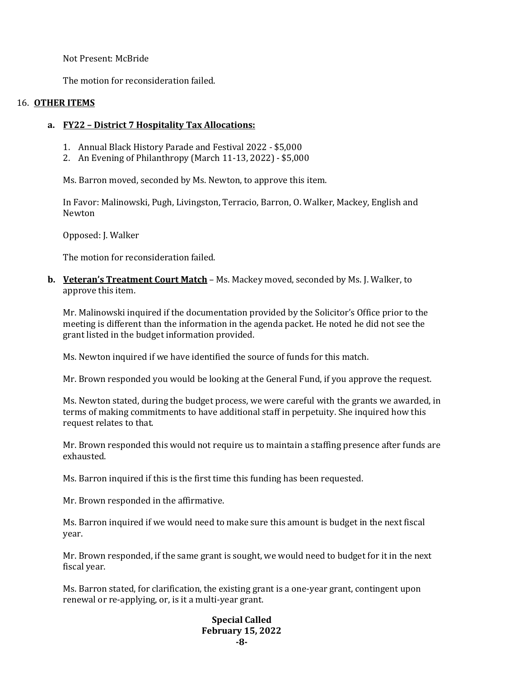Not Present: McBride

The motion for reconsideration failed.

## 16. **OTHER ITEMS**

### **a. FY22 – District 7 Hospitality Tax Allocations:**

- 1. Annual Black History Parade and Festival 2022 \$5,000
- 2. An Evening of Philanthropy (March 11-13, 2022) \$5,000

Ms. Barron moved, seconded by Ms. Newton, to approve this item.

In Favor: Malinowski, Pugh, Livingston, Terracio, Barron, O. Walker, Mackey, English and Newton

Opposed: J. Walker

The motion for reconsideration failed.

**b. Veteran's Treatment Court Match** – Ms. Mackey moved, seconded by Ms. J. Walker, to approve this item.

Mr. Malinowski inquired if the documentation provided by the Solicitor's Office prior to the meeting is different than the information in the agenda packet. He noted he did not see the grant listed in the budget information provided.

Ms. Newton inquired if we have identified the source of funds for this match.

Mr. Brown responded you would be looking at the General Fund, if you approve the request.

Ms. Newton stated, during the budget process, we were careful with the grants we awarded, in terms of making commitments to have additional staff in perpetuity. She inquired how this request relates to that.

Mr. Brown responded this would not require us to maintain a staffing presence after funds are exhausted.

Ms. Barron inquired if this is the first time this funding has been requested.

Mr. Brown responded in the affirmative.

Ms. Barron inquired if we would need to make sure this amount is budget in the next fiscal year.

Mr. Brown responded, if the same grant is sought, we would need to budget for it in the next fiscal year.

Ms. Barron stated, for clarification, the existing grant is a one-year grant, contingent upon renewal or re-applying, or, is it a multi-year grant.

#### **Special Called February 15, 2022 -8-**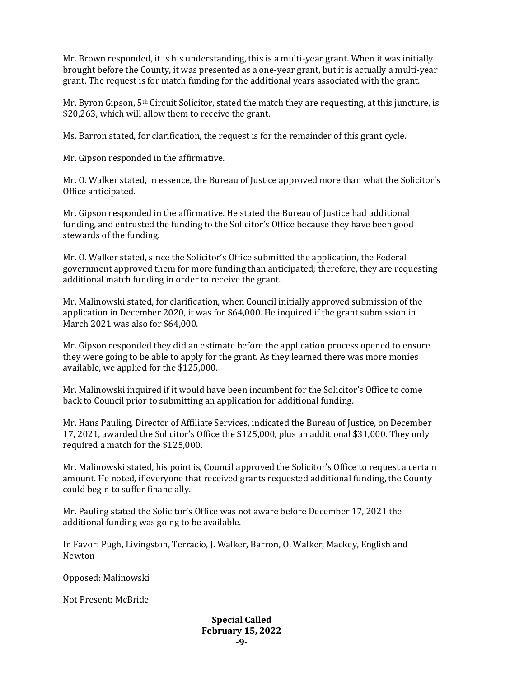Mr. Brown responded, it is his understanding, this is a multi-year grant. When it was initially brought before the County, it was presented as a one-year grant, but it is actually a multi-year grant. The request is for match funding for the additional years associated with the grant.

Mr. Byron Gipson, 5th Circuit Solicitor, stated the match they are requesting, at this juncture, is \$20,263, which will allow them to receive the grant.

Ms. Barron stated, for clarification, the request is for the remainder of this grant cycle.

Mr. Gipson responded in the affirmative.

Mr. O. Walker stated, in essence, the Bureau of Justice approved more than what the Solicitor's Office anticipated.

Mr. Gipson responded in the affirmative. He stated the Bureau of Justice had additional funding, and entrusted the funding to the Solicitor's Office because they have been good stewards of the funding.

Mr. O. Walker stated, since the Solicitor's Office submitted the application, the Federal government approved them for more funding than anticipated; therefore, they are requesting additional match funding in order to receive the grant.

Mr. Malinowski stated, for clarification, when Council initially approved submission of the application in December 2020, it was for \$64,000. He inquired if the grant submission in March 2021 was also for \$64,000.

Mr. Gipson responded they did an estimate before the application process opened to ensure they were going to be able to apply for the grant. As they learned there was more monies available, we applied for the \$125,000.

Mr. Malinowski inquired if it would have been incumbent for the Solicitor's Office to come back to Council prior to submitting an application for additional funding.

Mr. Hans Pauling, Director of Affiliate Services, indicated the Bureau of Justice, on December 17, 2021, awarded the Solicitor's Office the \$125,000, plus an additional \$31,000. They only required a match for the \$125,000.

Mr. Malinowski stated, his point is, Council approved the Solicitor's Office to request a certain amount. He noted, if everyone that received grants requested additional funding, the County could begin to suffer financially.

Mr. Pauling stated the Solicitor's Office was not aware before December 17, 2021 the additional funding was going to be available.

In Favor: Pugh, Livingston, Terracio, J. Walker, Barron, O. Walker, Mackey, English and Newton

Opposed: Malinowski

Not Present: McBride

#### **Special Called February 15, 2022 -9-**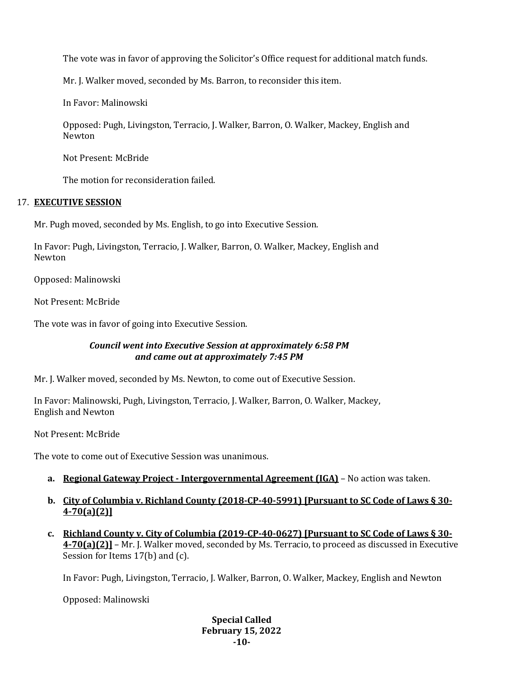The vote was in favor of approving the Solicitor's Office request for additional match funds.

Mr. J. Walker moved, seconded by Ms. Barron, to reconsider this item.

In Favor: Malinowski

Opposed: Pugh, Livingston, Terracio, J. Walker, Barron, O. Walker, Mackey, English and Newton

Not Present: McBride

The motion for reconsideration failed.

## 17. **EXECUTIVE SESSION**

Mr. Pugh moved, seconded by Ms. English, to go into Executive Session.

In Favor: Pugh, Livingston, Terracio, J. Walker, Barron, O. Walker, Mackey, English and Newton

Opposed: Malinowski

Not Present: McBride

The vote was in favor of going into Executive Session.

## *Council went into Executive Session at approximately 6:58 PM and came out at approximately 7:45 PM*

Mr. J. Walker moved, seconded by Ms. Newton, to come out of Executive Session.

In Favor: Malinowski, Pugh, Livingston, Terracio, J. Walker, Barron, O. Walker, Mackey, English and Newton

Not Present: McBride

The vote to come out of Executive Session was unanimous.

- **a. Regional Gateway Project - Intergovernmental Agreement (IGA)** No action was taken.
- **b. City of Columbia v. Richland County (2018-CP-40-5991) [Pursuant to SC Code of Laws § 30- 4-70(a)(2)]**
- **c. Richland County v. City of Columbia (2019-CP-40-0627) [Pursuant to SC Code of Laws § 30- 4-70(a)(2)]** – Mr. J. Walker moved, seconded by Ms. Terracio, to proceed as discussed in Executive Session for Items 17(b) and (c).

In Favor: Pugh, Livingston, Terracio, J. Walker, Barron, O. Walker, Mackey, English and Newton

Opposed: Malinowski

#### **Special Called February 15, 2022 -10-**